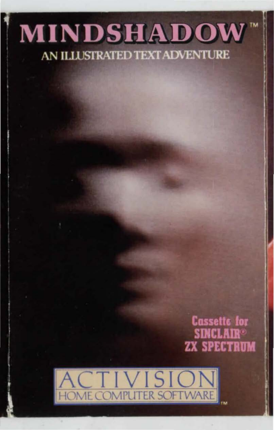# **MINDSHADOW** AN ILLUSTRATED TEXT ADVENTURE

## **Cassette for SINCLAIR® ZX SPECTRUM**

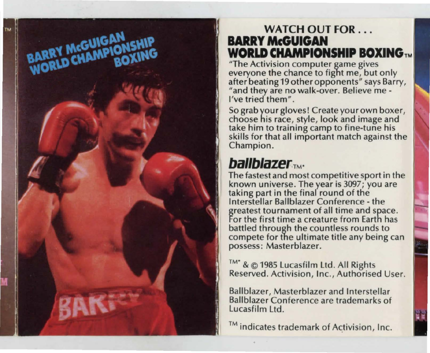## **WATCH OUT FOR ... BARRY McGUIGAN WORLD CHAMPIONSHIP BOXING TM**

"The Activision computer game gives everyone the chance to fight me, but only after beating 19 other opponents" says Barry, "and they are no walk-over. Believe me - I've tried them".

Sograbyourglovesl Create your own boxer, choose his race, style, look and image and take him to training camp to fine-tune his skills for that all important match against the Champion.

# **ballblazer™.**

BARRY McGUIGAN<br>WORLD CHAMPIONSHIP

BAK

The fastest and most competitive sport in the known universe. The year is 3097; you are taking part in the final round of the Interstellar Ballblazer Conference - the greatest tournament of all time and space. For the first time a creature from Earth has battled through the countless rounds to compete for the ultimate title any being can possess: Masterblazer.

TM<sup>\*</sup> & © 1985 Lucasfilm Ltd. All Rights Reserved. Activision, Inc., Authorised User.

Ballblazer, Masterblazer and Interstellar Ballblazer Conference are trademarks of Lucasfilm Ltd .

™ indicates trademark of Activision, Inc.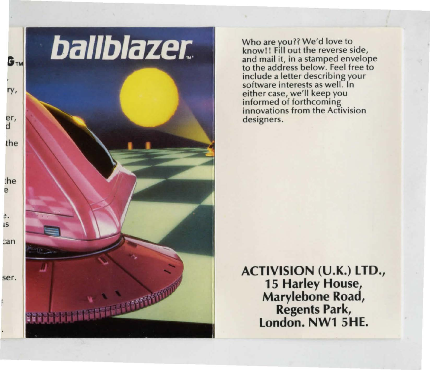# **ballblazer**

TERRETE NOT

Who are you?? We'd love to<br>know!! Fill out the reverse side, and mail it, in a stamped envelope<br>to the address below. Feel free to incl ude a letter describing your software interests as well. In either case, we'll keep you informed of forthcoming innovations from the Activision designers.

**ACTIVISION (U.K.) LTD., 15 Harley House, Marylebone Road, Regents Park, London. NW1 SHE.**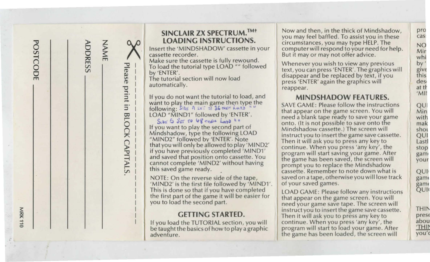Please print in **BLOCK CAPITALS** 

O VICADING INSTRUCTIONS.<br>
START HE CORDING INSTRUCTIONS.<br>
Cassette in your cassette in your computer will respond to your need for he<br>
Cassette in your cassette is fully rewound.<br>
To load the tutorial type LOAD "" followed

The tutorial section will now load

If you do not want the tutorial to load, and<br>want to play the main game then type the<br>following: Ship A set Tree SAVE GAME: Please follow the instructions<br>following: Ship A set Tree section of the same screen. You will LOAD "MIND1" followed by 'ENTER'.<br>See Is fer to 48 there Long him

(If you want to play the second part of Mindshadow cassette.) The screen will Mindshadow cassette.) The screen will shot Mindshadow cassette. "MIND2" followed by 'ENTER'. Note that you will only be allowed to play 'MIND2' continue. When you press 'any key', the frontinue when you press 'any key', the program will start saving your game. After

'MIND2' is the first file followed by 'MIND1'. of your saved games.<br>This is done so that if you have completed LOAD GAME: Please follow any instructions This is done so that if you have completed<br>the first part of the game it will be easier for the game same screen. You will<br>you to load the second part.

If you load the TUTORIAL section, you wi be taught the basics of how to play a graphic program will start to load your game. After adventure.

**SINCLAIR ZX SPECTRUM.**<sup>TM+</sup> Now and then, in the thick of Mindshadow, you may feel baffled. To assist you in these circumstances, you may type HELP. The **EXECUTIONS.**<br>
Insert the 'MINDSHADOW' cassette in your constances, you may type HELP. The CONDING INSTRUCTIONS.<br>
Insert the 'MINDSHADOW' cassette in your computer will respond to your need for help.<br>
But it may or may not Vl 0 > Insert the 'MINDSHADOW' cassette in your computer will respond to your need for help. Mir 0 ~ cassette recorder. But it may or may not offer advice. **-i** whi ;io m Make sure the cassette is fully rewound . Whenever you wish to view any previous by ' (") <sup>m</sup>

The graphics will will now load the function will now load a text, you can press 'ENTER'. The graphics will disappear and be replaced by text, if you and the tutorial section will now load automatically. press 'ENTER' again the graphics will reappear.

"MIND1" Tollowed by 'ENTER'.<br>
See 5 are to keep with a media blank tape ready to save your game<br>If you want to play the second part of a mindshadow casself a The screen will onto. (It is not possible to save onto the instruct you to insert the game save cassette.  $\text{ENTER'}$ . Note Then it will ask you to press any key to From the structure of the structure of the structure of the structure of the structure of the structure of the structure of the structure of the structure of the structure of the structure of the structure of the structure NOTE: On the reverse side of the tape,<br>'MIND2' is the first file followed by 'MIND1', of your saved games.

need your game save tape. The screen will  $\frac{2}{\pi}$  **instruct you to insert the game save cassette.**<br>  $\frac{2}{\pi}$  **instruct you to press any key to GETTING STARTED.** Then it will ask you to press any key to  $\frac{1}{2}$  |  $\frac{1}{2}$  |  $\frac{1}{2}$  | if you load the TUTORIAL section, you will continue. When you press 'any key', the the game has been loaded, the screen will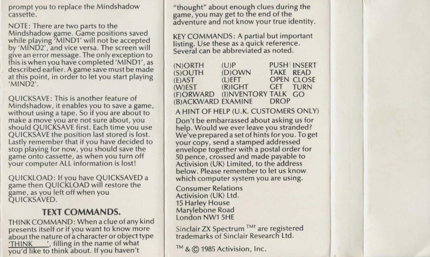prompt you to replace the Mindshadow cassette.

NOTE: There are two parts to the Mindshadow game. Game positions saved while playing 'MIND1' will not be accepted by 'MIND2', and vice versa. The screen will give an error message. The only exception to fhis is when you have completed 'MIND1', as described earlier. A game save must be made at this point, in order to let you start playing 'MIND2'.

QUICKSAVE: This is another feature of Mindshadow, it enables you to save a game, without using a tape. So if you are about to make a move you are not sure about, you should QUICKSAVE first. Each time you use QUICKSAVE the position last stored is lost. Lastly remember that if you have decided to stop playing for now, you should save the game onto cassette, as when you turn off your computer ALL information is lost!

QUICKLOAD: If you have QUICKSAVED a game then QUICKLOAD will restore the game, as you left off when you QUICKSAVED.

## **TEXT COMMANDS.**

THINK COMMAND: When a clue of any kind presents itself or if you want to know more about the nature of a character or object type<br>'THINK ', filling in the name of what you'd like to think about. If you haven't

"thought" about enough clues during the game, you may get to the end of the adventure and not know your true identity.

KEY COMMANDS: A partial but important listing. Use these as a quick reference. Several can be abbreviated as noted.

| $(N)$ ORTH | (U)P                    |           | <b>PUSH INSERT</b> |
|------------|-------------------------|-----------|--------------------|
| $(S)$ OUTH | $(D)$ OWN               | TAKE READ |                    |
| (E)AST     | (L)EFT                  |           | <b>OPEN CLOSE</b>  |
| (W) EST    | $(R)$ $I$ $G$ $H$ $T$   | GET TURN  |                    |
| (F)ORWARD  | (I)NVENTORY TALK GO     |           |                    |
|            | (B)ACKWARD EXAMINE DROP |           |                    |

## A HINT OF HELP (U.K. CUSTOMERS ONLY)

Don't be embarrassed about asking us for help. Would we ever leave you stranded? We've prepared a set of hints for you . To get your copy, send a stamped addressed envelope together with a postal order for 50 pence, crossed and made payable to Activision (UK) Limited, to the address below. Please remember to let us know which computer system you are using.

Consumer Relations Activision (UK) Ltd. 15 Harley House Marylebone Road London NW1 SHE

Sinclair ZX Spectrum<sup>TMt</sup> are registered trademarks of Sinclair Research Ltd.

TM & © 1985 Activision, Inc.